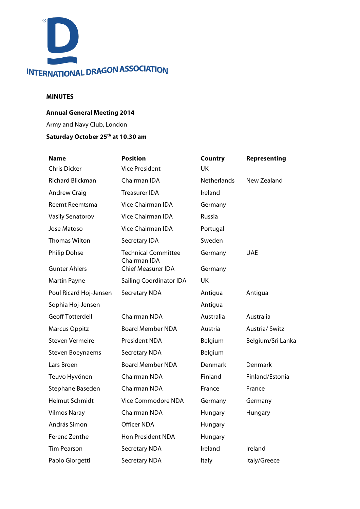

# **MINUTES**

# **Annual General Meeting 2014**

Army and Navy Club, London

**Saturday October 25th at 10.30 am**

| <b>Name</b>             | <b>Position</b>                            | Country            | Representing       |
|-------------------------|--------------------------------------------|--------------------|--------------------|
| <b>Chris Dicker</b>     | <b>Vice President</b>                      | <b>UK</b>          |                    |
| <b>Richard Blickman</b> | Chairman IDA                               | <b>Netherlands</b> | <b>New Zealand</b> |
| <b>Andrew Craig</b>     | <b>Treasurer IDA</b>                       | Ireland            |                    |
| Reemt Reemtsma          | Vice Chairman IDA                          | Germany            |                    |
| <b>Vasily Senatorov</b> | Vice Chairman IDA                          | Russia             |                    |
| Jose Matoso             | Vice Chairman IDA                          | Portugal           |                    |
| <b>Thomas Wilton</b>    | Secretary IDA                              | Sweden             |                    |
| <b>Philip Dohse</b>     | <b>Technical Committee</b><br>Chairman IDA | Germany            | <b>UAE</b>         |
| <b>Gunter Ahlers</b>    | <b>Chief Measurer IDA</b>                  | Germany            |                    |
| <b>Martin Payne</b>     | <b>Sailing Coordinator IDA</b>             | UK                 |                    |
| Poul Ricard Hoj-Jensen  | <b>Secretary NDA</b>                       | Antigua            | Antigua            |
| Sophia Hoj-Jensen       |                                            | Antigua            |                    |
| <b>Geoff Totterdell</b> | Chairman NDA                               | Australia          | Australia          |
| <b>Marcus Oppitz</b>    | <b>Board Member NDA</b>                    | Austria            | Austria/ Switz     |
| <b>Steven Vermeire</b>  | <b>President NDA</b>                       | Belgium            | Belgium/Sri Lanka  |
| Steven Boeynaems        | <b>Secretary NDA</b>                       | Belgium            |                    |
| Lars Broen              | <b>Board Member NDA</b>                    | <b>Denmark</b>     | Denmark            |
| Teuvo Hyvönen           | Chairman NDA                               | Finland            | Finland/Estonia    |
| Stephane Baseden        | Chairman NDA                               | France             | France             |
| <b>Helmut Schmidt</b>   | Vice Commodore NDA                         | Germany            | Germany            |
| <b>Vilmos Naray</b>     | Chairman NDA                               | Hungary            | Hungary            |
| András Simon            | <b>Officer NDA</b>                         | Hungary            |                    |
| Ferenc Zenthe           | Hon President NDA                          | Hungary            |                    |
| <b>Tim Pearson</b>      | <b>Secretary NDA</b>                       | Ireland            | Ireland            |
| Paolo Giorgetti         | <b>Secretary NDA</b>                       | Italy              | Italy/Greece       |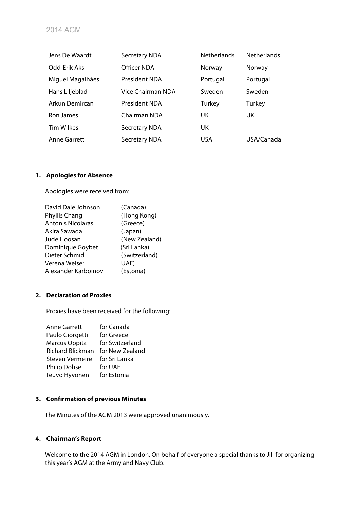| Jens De Waardt      | <b>Secretary NDA</b> | <b>Netherlands</b> | <b>Netherlands</b> |
|---------------------|----------------------|--------------------|--------------------|
| Odd-Erik Aks        | Officer NDA          | Norway             | Norway             |
| Miguel Magalhães    | President NDA        | Portugal           | Portugal           |
| Hans Liljeblad      | Vice Chairman NDA    | Sweden             | Sweden             |
| Arkun Demircan      | President NDA        | Turkey             | Turkey             |
| Ron James           | Chairman NDA         | UK                 | UK                 |
| <b>Tim Wilkes</b>   | Secretary NDA        | UK                 |                    |
| <b>Anne Garrett</b> | <b>Secretary NDA</b> | <b>USA</b>         | USA/Canada         |

# **1. Apologies for Absence**

Apologies were received from:

| David Dale Johnson       | (Canada)      |
|--------------------------|---------------|
| Phyllis Chang            | (Hong Kong)   |
| <b>Antonis Nicolaras</b> | (Greece)      |
| Akira Sawada             | (Japan)       |
| Jude Hoosan              | (New Zealand) |
| Dominique Goybet         | (Sri Lanka)   |
| Dieter Schmid            | (Switzerland) |
| Verena Weiser            | UAE)          |
| Alexander Karboinov      | (Estonia)     |

# **2. Declaration of Proxies**

Proxies have been received for the following:

| <b>Anne Garrett</b>     | for Canada      |
|-------------------------|-----------------|
| Paulo Giorgetti         | for Greece      |
| <b>Marcus Oppitz</b>    | for Switzerland |
| <b>Richard Blickman</b> | for New Zealand |
| <b>Steven Vermeire</b>  | for Sri Lanka   |
| <b>Philip Dohse</b>     | for UAE         |
| Teuvo Hyvönen           | for Estonia     |

# **3. Confirmation of previous Minutes**

The Minutes of the AGM 2013 were approved unanimously.

# **4. Chairman's Report**

Welcome to the 2014 AGM in London. On behalf of everyone a special thanks to Jill for organizing this year's AGM at the Army and Navy Club.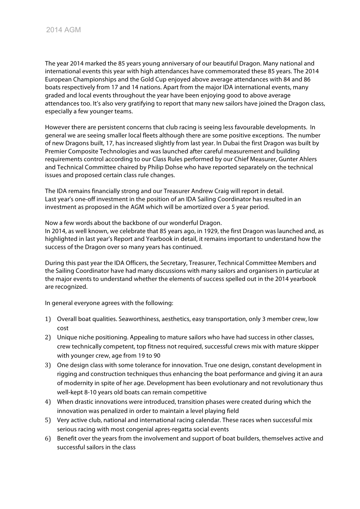The year 2014 marked the 85 years young anniversary of our beautiful Dragon. Many national and international events this year with high attendances have commemorated these 85 years. The 2014 European Championships and the Gold Cup enjoyed above average attendances with 84 and 86 boats respectively from 17 and 14 nations. Apart from the major IDA international events, many graded and local events throughout the year have been enjoying good to above average attendances too. It's also very gratifying to report that many new sailors have joined the Dragon class, especially a few younger teams.

However there are persistent concerns that club racing is seeing less favourable developments. In general we are seeing smaller local fleets although there are some positive exceptions. The number of new Dragons built, 17, has increased slightly from last year. In Dubai the first Dragon was built by Premier Composite Technologies and was launched after careful measurement and building requirements control according to our Class Rules performed by our Chief Measurer, Gunter Ahlers and Technical Committee chaired by Philip Dohse who have reported separately on the technical issues and proposed certain class rule changes.

The IDA remains financially strong and our Treasurer Andrew Craig will report in detail. Last year's one-off investment in the position of an IDA Sailing Coordinator has resulted in an investment as proposed in the AGM which will be amortized over a 5 year period.

Now a few words about the backbone of our wonderful Dragon.

In 2014, as well known, we celebrate that 85 years ago, in 1929, the first Dragon was launched and, as highlighted in last year's Report and Yearbook in detail, it remains important to understand how the success of the Dragon over so many years has continued.

During this past year the IDA Officers, the Secretary, Treasurer, Technical Committee Members and the Sailing Coordinator have had many discussions with many sailors and organisers in particular at the major events to understand whether the elements of success spelled out in the 2014 yearbook are recognized.

In general everyone agrees with the following:

- 1) Overall boat qualities. Seaworthiness, aesthetics, easy transportation, only 3 member crew, low cost
- 2) Unique niche positioning. Appealing to mature sailors who have had success in other classes, crew technically competent, top fitness not required, successful crews mix with mature skipper with younger crew, age from 19 to 90
- 3) One design class with some tolerance for innovation. True one design, constant development in rigging and construction techniques thus enhancing the boat performance and giving it an aura of modernity in spite of her age. Development has been evolutionary and not revolutionary thus well-kept 8-10 years old boats can remain competitive
- 4) When drastic innovations were introduced, transition phases were created during which the innovation was penalized in order to maintain a level playing field
- 5) Very active club, national and international racing calendar. These races when successful mix serious racing with most congenial apres-regatta social events
- 6) Benefit over the years from the involvement and support of boat builders, themselves active and successful sailors in the class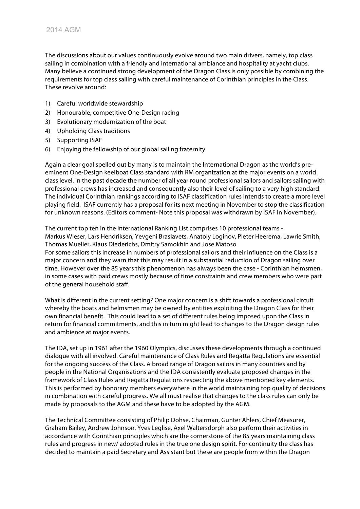The discussions about our values continuously evolve around two main drivers, namely, top class sailing in combination with a friendly and international ambiance and hospitality at yacht clubs. Many believe a continued strong development of the Dragon Class is only possible by combining the requirements for top class sailing with careful maintenance of Corinthian principles in the Class. These revolve around:

- 1) Careful worldwide stewardship
- 2) Honourable, competitive One-Design racing
- 3) Evolutionary modernization of the boat
- 4) Upholding Class traditions
- 5) Supporting ISAF
- 6) Enjoying the fellowship of our global sailing fraternity

Again a clear goal spelled out by many is to maintain the International Dragon as the world's preeminent One-Design keelboat Class standard with RM organization at the major events on a world class level. In the past decade the number of all year round professional sailors and sailors sailing with professional crews has increased and consequently also their level of sailing to a very high standard. The individual Corinthian rankings according to ISAF classification rules intends to create a more level playing field. ISAF currently has a proposal for its next meeting in November to stop the classification for unknown reasons. (Editors comment- Note this proposal was withdrawn by ISAF in November).

The current top ten in the International Ranking List comprises 10 professional teams - Markus Wieser, Lars Hendriksen, Yevgeni Braslavets, Anatoly Loginov, Pieter Heerema, Lawrie Smith, Thomas Mueller, Klaus Diederichs, Dmitry Samokhin and Jose Matoso.

For some sailors this increase in numbers of professional sailors and their influence on the Class is a major concern and they warn that this may result in a substantial reduction of Dragon sailing over time. However over the 85 years this phenomenon has always been the case - Corinthian helmsmen, in some cases with paid crews mostly because of time constraints and crew members who were part of the general household staff.

What is different in the current setting? One major concern is a shift towards a professional circuit whereby the boats and helmsmen may be owned by entities exploiting the Dragon Class for their own financial benefit. This could lead to a set of different rules being imposed upon the Class in return for financial commitments, and this in turn might lead to changes to the Dragon design rules and ambience at major events.

The IDA, set up in 1961 after the 1960 Olympics, discusses these developments through a continued dialogue with all involved. Careful maintenance of Class Rules and Regatta Regulations are essential for the ongoing success of the Class. A broad range of Dragon sailors in many countries and by people in the National Organisations and the IDA consistently evaluate proposed changes in the framework of Class Rules and Regatta Regulations respecting the above mentioned key elements. This is performed by honorary members everywhere in the world maintaining top quality of decisions in combination with careful progress. We all must realise that changes to the class rules can only be made by proposals to the AGM and these have to be adopted by the AGM.

The Technical Committee consisting of Philip Dohse, Chairman, Gunter Ahlers, Chief Measurer, Graham Bailey, Andrew Johnson, Yves Leglise, Axel Waltersdorph also perform their activities in accordance with Corinthian principles which are the cornerstone of the 85 years maintaining class rules and progress in new/ adopted rules in the true one design spirit. For continuity the class has decided to maintain a paid Secretary and Assistant but these are people from within the Dragon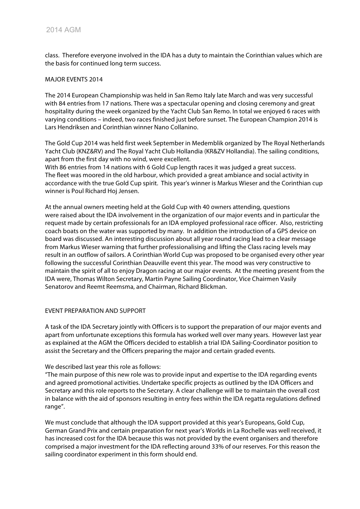class. Therefore everyone involved in the IDA has a duty to maintain the Corinthian values which are the basis for continued long term success.

#### MAJOR EVENTS 2014

The 2014 European Championship was held in San Remo Italy late March and was very successful with 84 entries from 17 nations. There was a spectacular opening and closing ceremony and great hospitality during the week organized by the Yacht Club San Remo. In total we enjoyed 6 races with varying conditions – indeed, two races finished just before sunset. The European Champion 2014 is Lars Hendriksen and Corinthian winner Nano Collanino.

The Gold Cup 2014 was held first week September in Medemblik organized by The Royal Netherlands Yacht Club (KNZ&RV) and The Royal Yacht Club Hollandia (KR&ZV Hollandia). The sailing conditions, apart from the first day with no wind, were excellent.

With 86 entries from 14 nations with 6 Gold Cup length races it was judged a great success. The fleet was moored in the old harbour, which provided a great ambiance and social activity in accordance with the true Gold Cup spirit. This year's winner is Markus Wieser and the Corinthian cup winner is Poul Richard Hoj Jensen.

At the annual owners meeting held at the Gold Cup with 40 owners attending, questions were raised about the IDA involvement in the organization of our major events and in particular the request made by certain professionals for an IDA employed professional race officer. Also, restricting coach boats on the water was supported by many. In addition the introduction of a GPS device on board was discussed. An interesting discussion about all year round racing lead to a clear message from Markus Wieser warning that further professionalising and lifting the Class racing levels may result in an outflow of sailors. A Corinthian World Cup was proposed to be organised every other year following the successful Corinthian Deauville event this year. The mood was very constructive to maintain the spirit of all to enjoy Dragon racing at our major events. At the meeting present from the IDA were, Thomas Wilton Secretary, Martin Payne Sailing Coordinator, Vice Chairmen Vasily Senatorov and Reemt Reemsma, and Chairman, Richard Blickman.

#### EVENT PREPARATION AND SUPPORT

A task of the IDA Secretary jointly with Officers is to support the preparation of our major events and apart from unfortunate exceptions this formula has worked well over many years. However last year as explained at the AGM the Officers decided to establish a trial IDA Sailing-Coordinator position to assist the Secretary and the Officers preparing the major and certain graded events.

#### We described last year this role as follows:

"The main purpose of this new role was to provide input and expertise to the IDA regarding events and agreed promotional activities. Undertake specific projects as outlined by the IDA Officers and Secretary and this role reports to the Secretary. A clear challenge will be to maintain the overall cost in balance with the aid of sponsors resulting in entry fees within the IDA regatta regulations defined range".

We must conclude that although the IDA support provided at this year's Europeans, Gold Cup, German Grand Prix and certain preparation for next year's Worlds in La Rochelle was well received, it has increased cost for the IDA because this was not provided by the event organisers and therefore comprised a major investment for the IDA reflecting around 33% of our reserves. For this reason the sailing coordinator experiment in this form should end.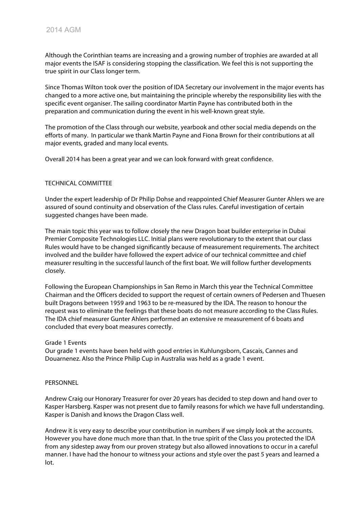Although the Corinthian teams are increasing and a growing number of trophies are awarded at all major events the ISAF is considering stopping the classification. We feel this is not supporting the true spirit in our Class longer term.

Since Thomas Wilton took over the position of IDA Secretary our involvement in the major events has changed to a more active one, but maintaining the principle whereby the responsibility lies with the specific event organiser. The sailing coordinator Martin Payne has contributed both in the preparation and communication during the event in his well-known great style.

The promotion of the Class through our website, yearbook and other social media depends on the efforts of many. In particular we thank Martin Payne and Fiona Brown for their contributions at all major events, graded and many local events.

Overall 2014 has been a great year and we can look forward with great confidence.

#### TECHNICAL COMMITTEE

Under the expert leadership of Dr Philip Dohse and reappointed Chief Measurer Gunter Ahlers we are assured of sound continuity and observation of the Class rules. Careful investigation of certain suggested changes have been made.

The main topic this year was to follow closely the new Dragon boat builder enterprise in Dubai Premier Composite Technologies LLC. Initial plans were revolutionary to the extent that our class Rules would have to be changed significantly because of measurement requirements. The architect involved and the builder have followed the expert advice of our technical committee and chief measurer resulting in the successful launch of the first boat. We will follow further developments closely.

Following the European Championships in San Remo in March this year the Technical Committee Chairman and the Officers decided to support the request of certain owners of Pedersen and Thuesen built Dragons between 1959 and 1963 to be re-measured by the IDA. The reason to honour the request was to eliminate the feelings that these boats do not measure according to the Class Rules. The IDA chief measurer Gunter Ahlers performed an extensive re measurement of 6 boats and concluded that every boat measures correctly.

#### Grade 1 Events

Our grade 1 events have been held with good entries in Kuhlungsborn, Cascais, Cannes and Douarnenez. Also the Prince Philip Cup in Australia was held as a grade 1 event.

# **PERSONNEL**

Andrew Craig our Honorary Treasurer for over 20 years has decided to step down and hand over to Kasper Harsberg. Kasper was not present due to family reasons for which we have full understanding. Kasper is Danish and knows the Dragon Class well.

Andrew it is very easy to describe your contribution in numbers if we simply look at the accounts. However you have done much more than that. In the true spirit of the Class you protected the IDA from any sidestep away from our proven strategy but also allowed innovations to occur in a careful manner. I have had the honour to witness your actions and style over the past 5 years and learned a lot.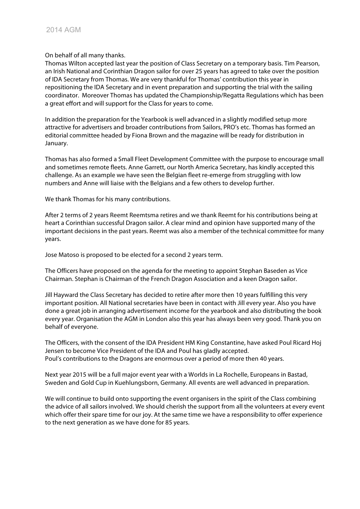On behalf of all many thanks.

Thomas Wilton accepted last year the position of Class Secretary on a temporary basis. Tim Pearson, an Irish National and Corinthian Dragon sailor for over 25 years has agreed to take over the position of IDA Secretary from Thomas. We are very thankful for Thomas' contribution this year in repositioning the IDA Secretary and in event preparation and supporting the trial with the sailing coordinator. Moreover Thomas has updated the Championship/Regatta Regulations which has been a great effort and will support for the Class for years to come.

In addition the preparation for the Yearbook is well advanced in a slightly modified setup more attractive for advertisers and broader contributions from Sailors, PRO's etc. Thomas has formed an editorial committee headed by Fiona Brown and the magazine will be ready for distribution in January.

Thomas has also formed a Small Fleet Development Committee with the purpose to encourage small and sometimes remote fleets. Anne Garrett, our North America Secretary, has kindly accepted this challenge. As an example we have seen the Belgian fleet re-emerge from struggling with low numbers and Anne will liaise with the Belgians and a few others to develop further.

We thank Thomas for his many contributions.

After 2 terms of 2 years Reemt Reemtsma retires and we thank Reemt for his contributions being at heart a Corinthian successful Dragon sailor. A clear mind and opinion have supported many of the important decisions in the past years. Reemt was also a member of the technical committee for many years.

Jose Matoso is proposed to be elected for a second 2 years term.

The Officers have proposed on the agenda for the meeting to appoint Stephan Baseden as Vice Chairman. Stephan is Chairman of the French Dragon Association and a keen Dragon sailor.

Jill Hayward the Class Secretary has decided to retire after more then 10 years fulfilling this very important position. All National secretaries have been in contact with Jill every year. Also you have done a great job in arranging advertisement income for the yearbook and also distributing the book every year. Organisation the AGM in London also this year has always been very good. Thank you on behalf of everyone.

The Officers, with the consent of the IDA President HM King Constantine, have asked Poul Ricard Hoj Jensen to become Vice President of the IDA and Poul has gladly accepted. Poul's contributions to the Dragons are enormous over a period of more then 40 years.

Next year 2015 will be a full major event year with a Worlds in La Rochelle, Europeans in Bastad, Sweden and Gold Cup in Kuehlungsborn, Germany. All events are well advanced in preparation.

We will continue to build onto supporting the event organisers in the spirit of the Class combining the advice of all sailors involved. We should cherish the support from all the volunteers at every event which offer their spare time for our joy. At the same time we have a responsibility to offer experience to the next generation as we have done for 85 years.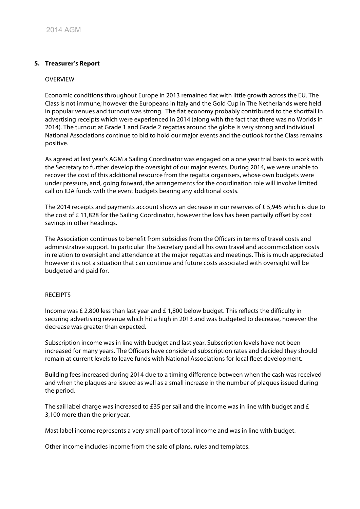# **5. Treasurer's Report**

## OVERVIEW

Economic conditions throughout Europe in 2013 remained flat with little growth across the EU. The Class is not immune; however the Europeans in Italy and the Gold Cup in The Netherlands were held in popular venues and turnout was strong. The flat economy probably contributed to the shortfall in advertising receipts which were experienced in 2014 (along with the fact that there was no Worlds in 2014). The turnout at Grade 1 and Grade 2 regattas around the globe is very strong and individual National Associations continue to bid to hold our major events and the outlook for the Class remains positive.

As agreed at last year's AGM a Sailing Coordinator was engaged on a one year trial basis to work with the Secretary to further develop the oversight of our major events. During 2014, we were unable to recover the cost of this additional resource from the regatta organisers, whose own budgets were under pressure, and, going forward, the arrangements for the coordination role will involve limited call on IDA funds with the event budgets bearing any additional costs.

The 2014 receipts and payments account shows an decrease in our reserves of £ 5,945 which is due to the cost of £11,828 for the Sailing Coordinator, however the loss has been partially offset by cost savings in other headings.

The Association continues to benefit from subsidies from the Officers in terms of travel costs and administrative support. In particular The Secretary paid all his own travel and accommodation costs in relation to oversight and attendance at the major regattas and meetings. This is much appreciated however it is not a situation that can continue and future costs associated with oversight will be budgeted and paid for.

#### **RECEIPTS**

Income was £ 2,800 less than last year and £ 1,800 below budget. This reflects the difficulty in securing advertising revenue which hit a high in 2013 and was budgeted to decrease, however the decrease was greater than expected.

Subscription income was in line with budget and last year. Subscription levels have not been increased for many years. The Officers have considered subscription rates and decided they should remain at current levels to leave funds with National Associations for local fleet development.

Building fees increased during 2014 due to a timing difference between when the cash was received and when the plaques are issued as well as a small increase in the number of plaques issued during the period.

The sail label charge was increased to £35 per sail and the income was in line with budget and  $E$ 3,100 more than the prior year.

Mast label income represents a very small part of total income and was in line with budget.

Other income includes income from the sale of plans, rules and templates.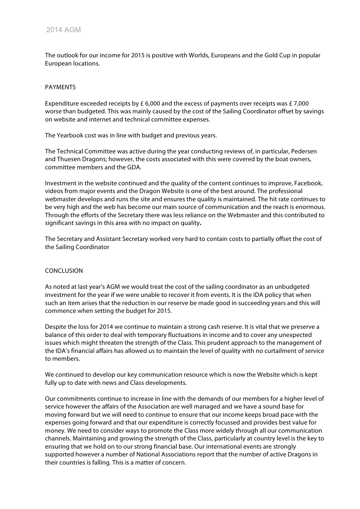The outlook for our income for 2015 is positive with Worlds, Europeans and the Gold Cup in popular European locations.

### PAYMENTS

Expenditure exceeded receipts by  $E$  6,000 and the excess of payments over receipts was £7,000 worse than budgeted. This was mainly caused by the cost of the Sailing Coordinator offset by savings on website and internet and technical committee expenses.

The Yearbook cost was in line with budget and previous years.

The Technical Committee was active during the year conducting reviews of, in particular, Pedersen and Thuesen Dragons; however, the costs associated with this were covered by the boat owners, committee members and the GDA.

Investment in the website continued and the quality of the content continues to improve, Facebook, videos from major events and the Dragon Website is one of the best around. The professional webmaster develops and runs the site and ensures the quality is maintained. The hit rate continues to be very high and the web has become our main source of communication and the reach is enormous. Through the efforts of the Secretary there was less reliance on the Webmaster and this contributed to significant savings in this area with no impact on quality**.**

The Secretary and Assistant Secretary worked very hard to contain costs to partially offset the cost of the Sailing Coordinator

#### CONCLUSION

As noted at last year's AGM we would treat the cost of the sailing coordinator as an unbudgeted investment for the year if we were unable to recover it from events. It is the IDA policy that when such an item arises that the reduction in our reserve be made good in succeeding years and this will commence when setting the budget for 2015.

Despite the loss for 2014 we continue to maintain a strong cash reserve. It is vital that we preserve a balance of this order to deal with temporary fluctuations in income and to cover any unexpected issues which might threaten the strength of the Class. This prudent approach to the management of the IDA's financial affairs has allowed us to maintain the level of quality with no curtailment of service to members.

We continued to develop our key communication resource which is now the Website which is kept fully up to date with news and Class developments.

Our commitments continue to increase in line with the demands of our members for a higher level of service however the affairs of the Association are well managed and we have a sound base for moving forward but we will need to continue to ensure that our income keeps broad pace with the expenses going forward and that our expenditure is correctly focussed and provides best value for money. We need to consider ways to promote the Class more widely through all our communication channels. Maintaining and growing the strength of the Class, particularly at country level is the key to ensuring that we hold on to our strong financial base. Our international events are strongly supported however a number of National Associations report that the number of active Dragons in their countries is falling. This is a matter of concern.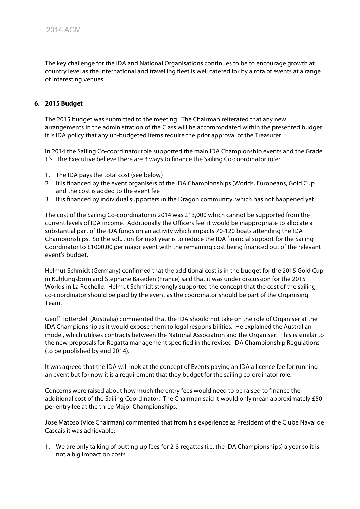The key challenge for the IDA and National Organisations continues to be to encourage growth at country level as the International and travelling fleet is well catered for by a rota of events at a range of interesting venues.

# **6. 2015 Budget**

The 2015 budget was submitted to the meeting. The Chairman reiterated that any new arrangements in the administration of the Class will be accommodated within the presented budget. It is IDA policy that any un-budgeted items require the prior approval of the Treasurer.

In 2014 the Sailing Co-coordinator role supported the main IDA Championship events and the Grade 1's. The Executive believe there are 3 ways to finance the Sailing Co-coordinator role:

- 1. The IDA pays the total cost (see below)
- 2. It is financed by the event organisers of the IDA Championships (Worlds, Europeans, Gold Cup and the cost is added to the event fee
- 3. It is financed by individual supporters in the Dragon community, which has not happened yet

The cost of the Sailing Co-coordinator in 2014 was £13,000 which cannot be supported from the current levels of IDA income. Additionally the Officers feel it would be inappropriate to allocate a substantial part of the IDA funds on an activity which impacts 70-120 boats attending the IDA Championships. So the solution for next year is to reduce the IDA financial support for the Sailing Coordinator to £1000.00 per major event with the remaining cost being financed out of the relevant event's budget.

Helmut Schmidt (Germany) confirmed that the additional cost is in the budget for the 2015 Gold Cup in Kuhlungsborn and Stephane Baseden (France) said that it was under discussion for the 2015 Worlds in La Rochelle. Helmut Schmidt strongly supported the concept that the cost of the sailing co-coordinator should be paid by the event as the coordinator should be part of the Organising Team.

Geoff Totterdell (Australia) commented that the IDA should not take on the role of Organiser at the IDA Championship as it would expose them to legal responsibilities. He explained the Australian model, which utilises contracts between the National Association and the Organiser. This is similar to the new proposals for Regatta management specified in the revised IDA Championship Regulations (to be published by end 2014).

It was agreed that the IDA will look at the concept of Events paying an IDA a licence fee for running an event but for now it is a requirement that they budget for the sailing co-ordinator role.

Concerns were raised about how much the entry fees would need to be raised to finance the additional cost of the Sailing Coordinator. The Chairman said it would only mean approximately £50 per entry fee at the three Major Championships.

Jose Matoso (Vice Chairman) commented that from his experience as President of the Clube Naval de Cascais it was achievable:

1. We are only talking of putting up fees for 2-3 regattas (i.e. the IDA Championships) a year so it is not a big impact on costs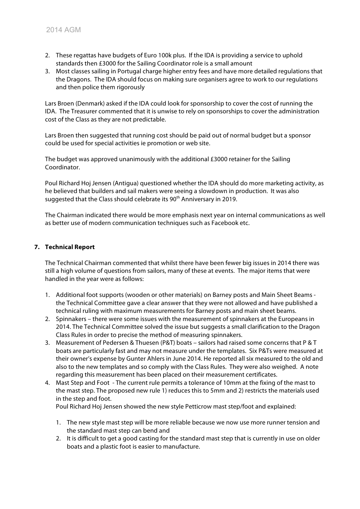- 2. These regattas have budgets of Euro 100k plus. If the IDA is providing a service to uphold standards then £3000 for the Sailing Coordinator role is a small amount
- 3. Most classes sailing in Portugal charge higher entry fees and have more detailed regulations that the Dragons. The IDA should focus on making sure organisers agree to work to our regulations and then police them rigorously

Lars Broen (Denmark) asked if the IDA could look for sponsorship to cover the cost of running the IDA. The Treasurer commented that it is unwise to rely on sponsorships to cover the administration cost of the Class as they are not predictable.

Lars Broen then suggested that running cost should be paid out of normal budget but a sponsor could be used for special activities ie promotion or web site.

The budget was approved unanimously with the additional £3000 retainer for the Sailing Coordinator.

Poul Richard Hoj Jensen (Antigua) questioned whether the IDA should do more marketing activity, as he believed that builders and sail makers were seeing a slowdown in production. It was also suggested that the Class should celebrate its 90<sup>th</sup> Anniversary in 2019.

The Chairman indicated there would be more emphasis next year on internal communications as well as better use of modern communication techniques such as Facebook etc.

# **7. Technical Report**

The Technical Chairman commented that whilst there have been fewer big issues in 2014 there was still a high volume of questions from sailors, many of these at events. The major items that were handled in the year were as follows:

- 1. Additional foot supports (wooden or other materials) on Barney posts and Main Sheet Beams the Technical Committee gave a clear answer that they were not allowed and have published a technical ruling with maximum measurements for Barney posts and main sheet beams.
- 2. Spinnakers there were some issues with the measurement of spinnakers at the Europeans in 2014. The Technical Committee solved the issue but suggests a small clarification to the Dragon Class Rules in order to precise the method of measuring spinnakers.
- 3. Measurement of Pedersen & Thuesen (P&T) boats sailors had raised some concerns that P & T boats are particularly fast and may not measure under the templates. Six P&Ts were measured at their owner's expense by Gunter Ahlers in June 2014. He reported all six measured to the old and also to the new templates and so comply with the Class Rules. They were also weighed. A note regarding this measurement has been placed on their measurement certificates.
- 4. Mast Step and Foot The current rule permits a tolerance of 10mm at the fixing of the mast to the mast step. The proposed new rule 1) reduces this to 5mm and 2) restricts the materials used in the step and foot.

Poul Richard Hoj Jensen showed the new style Petticrow mast step/foot and explained:

- 1. The new style mast step will be more reliable because we now use more runner tension and the standard mast step can bend and
- 2. It is difficult to get a good casting for the standard mast step that is currently in use on older boats and a plastic foot is easier to manufacture.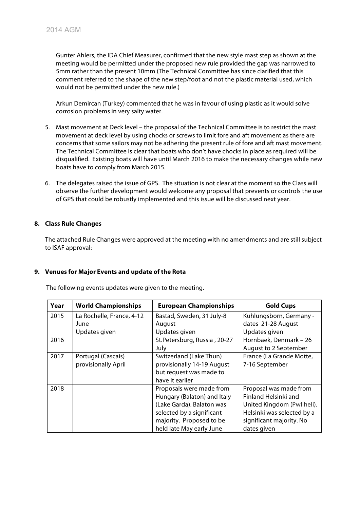Gunter Ahlers, the IDA Chief Measurer, confirmed that the new style mast step as shown at the meeting would be permitted under the proposed new rule provided the gap was narrowed to 5mm rather than the present 10mm (The Technical Committee has since clarified that this comment referred to the shape of the new step/foot and not the plastic material used, which would not be permitted under the new rule.)

Arkun Demircan (Turkey) commented that he was in favour of using plastic as it would solve corrosion problems in very salty water.

- 5. Mast movement at Deck level the proposal of the Technical Committee is to restrict the mast movement at deck level by using chocks or screws to limit fore and aft movement as there are concerns that some sailors may not be adhering the present rule of fore and aft mast movement. The Technical Committee is clear that boats who don't have chocks in place as required will be disqualified. Existing boats will have until March 2016 to make the necessary changes while new boats have to comply from March 2015.
- 6. The delegates raised the issue of GPS. The situation is not clear at the moment so the Class will observe the further development would welcome any proposal that prevents or controls the use of GPS that could be robustly implemented and this issue will be discussed next year.

# **8. Class Rule Changes**

The attached Rule Changes were approved at the meeting with no amendments and are still subject to ISAF approval:

#### **9. Venues for Major Events and update of the Rota**

| Year | <b>World Championships</b> | <b>European Championships</b> | <b>Gold Cups</b>           |
|------|----------------------------|-------------------------------|----------------------------|
| 2015 | La Rochelle, France, 4-12  | Bastad, Sweden, 31 July-8     | Kuhlungsborn, Germany -    |
|      | June                       | August                        | dates 21-28 August         |
|      | Updates given              | Updates given                 | Updates given              |
| 2016 |                            | St.Petersburg, Russia, 20-27  | Hornbaek, Denmark - 26     |
|      |                            | July                          | August to 2 September      |
| 2017 | Portugal (Cascais)         | Switzerland (Lake Thun)       | France (La Grande Motte,   |
|      | provisionally April        | provisionally 14-19 August    | 7-16 September             |
|      |                            | but request was made to       |                            |
|      |                            | have it earlier               |                            |
| 2018 |                            | Proposals were made from      | Proposal was made from     |
|      |                            | Hungary (Balaton) and Italy   | Finland Helsinki and       |
|      |                            | (Lake Garda). Balaton was     | United Kingdom (Pwllheli). |
|      |                            | selected by a significant     | Helsinki was selected by a |
|      |                            | majority. Proposed to be      | significant majority. No   |
|      |                            | held late May early June      | dates given                |

The following events updates were given to the meeting.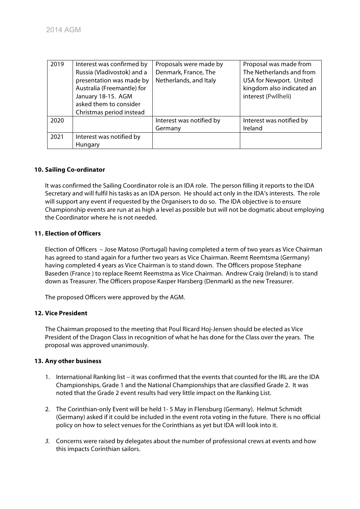| 2019 | Interest was confirmed by<br>Russia (Vladivostok) and a<br>presentation was made by<br>Australia (Freemantle) for<br>January 18-15. AGM<br>asked them to consider<br>Christmas period instead | Proposals were made by<br>Denmark, France, The<br>Netherlands, and Italy | Proposal was made from<br>The Netherlands and from<br>USA for Newport. United<br>kingdom also indicated an<br>interest (Pwllheli) |
|------|-----------------------------------------------------------------------------------------------------------------------------------------------------------------------------------------------|--------------------------------------------------------------------------|-----------------------------------------------------------------------------------------------------------------------------------|
| 2020 |                                                                                                                                                                                               | Interest was notified by<br>Germany                                      | Interest was notified by<br>Ireland                                                                                               |
| 2021 | Interest was notified by<br>Hungary                                                                                                                                                           |                                                                          |                                                                                                                                   |

# **10. Sailing Co-ordinator**

It was confirmed the Sailing Coordinator role is an IDA role. The person filling it reports to the IDA Secretary and will fulfil his tasks as an IDA person. He should act only in the IDA's interests. The role will support any event if requested by the Organisers to do so. The IDA objective is to ensure Championship events are run at as high a level as possible but will not be dogmatic about employing the Coordinator where he is not needed.

# **11. Election of Officers**

Election of Officers – Jose Matoso (Portugal) having completed a term of two years as Vice Chairman has agreed to stand again for a further two years as Vice Chairman. Reemt Reemtsma (Germany) having completed 4 years as Vice Chairman is to stand down. The Officers propose Stephane Baseden (France ) to replace Reemt Reemstma as Vice Chairman. Andrew Craig (Ireland) is to stand down as Treasurer. The Officers propose Kasper Harsberg (Denmark) as the new Treasurer.

The proposed Officers were approved by the AGM.

## **12. Vice President**

The Chairman proposed to the meeting that Poul Ricard Hoj-Jensen should be elected as Vice President of the Dragon Class in recognition of what he has done for the Class over the years. The proposal was approved unanimously.

#### **13. Any other business**

- 1. International Ranking list it was confirmed that the events that counted for the IRL are the IDA Championships, Grade 1 and the National Championships that are classified Grade 2. It was noted that the Grade 2 event results had very little impact on the Ranking List.
- 2. The Corinthian-only Event will be held 1- 5 May in Flensburg (Germany). Helmut Schmidt (Germany) asked if it could be included in the event rota voting in the future. There is no official policy on how to select venues for the Corinthians as yet but IDA will look into it.
- *3.* Concerns were raised by delegates about the number of professional crews at events and how this impacts Corinthian sailors.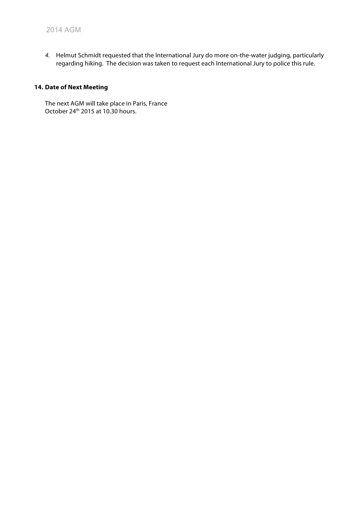*4.* Helmut Schmidt requested that the International Jury do more on-the-water judging, particularly regarding hiking. The decision was taken to request each International Jury to police this rule.

# **14. Date of Next Meeting**

The next AGM will take place in Paris, France October  $24<sup>th</sup>$  2015 at 10.30 hours.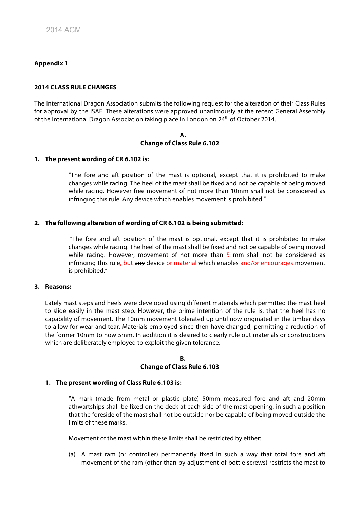# **Appendix 1**

## **2014 CLASS RULE CHANGES**

The International Dragon Association submits the following request for the alteration of their Class Rules for approval by the ISAF. These alterations were approved unanimously at the recent General Assembly of the International Dragon Association taking place in London on 24th of October 2014.

#### **A. Change of Class Rule 6.102**

#### **1. The present wording of CR 6.102 is:**

"The fore and aft position of the mast is optional, except that it is prohibited to make changes while racing. The heel of the mast shall be fixed and not be capable of being moved while racing. However free movement of not more than 10mm shall not be considered as infringing this rule. Any device which enables movement is prohibited."

#### **2. The following alteration of wording of CR 6.102 is being submitted:**

"The fore and aft position of the mast is optional, except that it is prohibited to make changes while racing. The heel of the mast shall be fixed and not be capable of being moved while racing. However, movement of not more than 5 mm shall not be considered as infringing this rule, but any device or material which enables and/or encourages movement is prohibited."

#### **3. Reasons:**

Lately mast steps and heels were developed using different materials which permitted the mast heel to slide easily in the mast step. However, the prime intention of the rule is, that the heel has no capability of movement. The 10mm movement tolerated up until now originated in the timber days to allow for wear and tear. Materials employed since then have changed, permitting a reduction of the former 10mm to now 5mm. In addition it is desired to clearly rule out materials or constructions which are deliberately employed to exploit the given tolerance.

#### **B. Change of Class Rule 6.103**

#### **1. The present wording of Class Rule 6.103 is:**

"A mark (made from metal or plastic plate) 50mm measured fore and aft and 20mm athwartships shall be fixed on the deck at each side of the mast opening, in such a position that the foreside of the mast shall not be outside nor be capable of being moved outside the limits of these marks.

Movement of the mast within these limits shall be restricted by either:

(a) A mast ram (or controller) permanently fixed in such a way that total fore and aft movement of the ram (other than by adjustment of bottle screws) restricts the mast to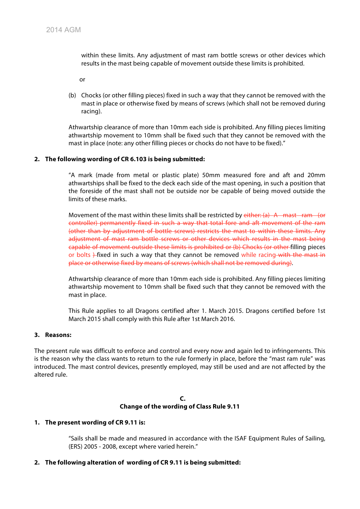within these limits. Any adjustment of mast ram bottle screws or other devices which results in the mast being capable of movement outside these limits is prohibited.

or

(b) Chocks (or other filling pieces) fixed in such a way that they cannot be removed with the mast in place or otherwise fixed by means of screws (which shall not be removed during racing).

Athwartship clearance of more than 10mm each side is prohibited. Any filling pieces limiting athwartship movement to 10mm shall be fixed such that they cannot be removed with the mast in place (note: any other filling pieces or chocks do not have to be fixed)."

# **2. The following wording of CR 6.103 is being submitted:**

"A mark (made from metal or plastic plate) 50mm measured fore and aft and 20mm athwartships shall be fixed to the deck each side of the mast opening, in such a position that the foreside of the mast shall not be outside nor be capable of being moved outside the limits of these marks.

Movement of the mast within these limits shall be restricted by either:  $(a)$  A mast ram (or controller) permanently fixed in such a way that total fore and aft movement of the ram (other than by adjustment of bottle screws) restricts the mast to within these limits. Any adjustment of mast ram bottle screws or other devices which results in the mast being capable of movement outside these limits is prohibited or (b) Chocks (or other filling pieces or bolts )-fixed in such a way that they cannot be removed while racing-with the mast in place or otherwise fixed by means of screws (which shall not be removed during).

Athwartship clearance of more than 10mm each side is prohibited. Any filling pieces limiting athwartship movement to 10mm shall be fixed such that they cannot be removed with the mast in place.

This Rule applies to all Dragons certified after 1. March 2015. Dragons certified before 1st March 2015 shall comply with this Rule after 1st March 2016.

#### **3. Reasons:**

The present rule was difficult to enforce and control and every now and again led to infringements. This is the reason why the class wants to return to the rule formerly in place, before the "mast ram rule" was introduced. The mast control devices, presently employed, may still be used and are not affected by the altered rule.

#### **C. Change of the wording of Class Rule 9.11**

#### **1. The present wording of CR 9.11 is:**

"Sails shall be made and measured in accordance with the ISAF Equipment Rules of Sailing, (ERS) 2005 - 2008, except where varied herein."

**2. The following alteration of wording of CR 9.11 is being submitted:**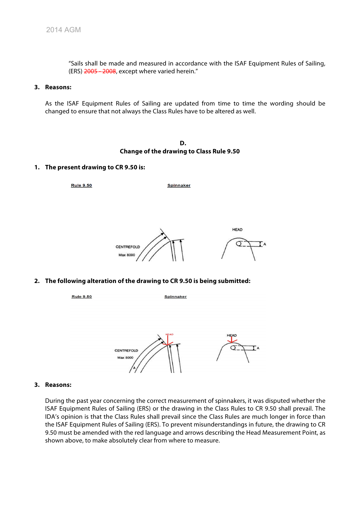"Sails shall be made and measured in accordance with the ISAF Equipment Rules of Sailing, (ERS) 2005 - 2008, except where varied herein."

## **3. Reasons:**

As the ISAF Equipment Rules of Sailing are updated from time to time the wording should be changed to ensure that not always the Class Rules have to be altered as well.

**D. Change of the drawing to Class Rule 9.50**

#### **1. The present drawing to CR 9.50 is:**

**Rule 9.50** 

Spinnaker



#### **2. The following alteration of the drawing to CR 9.50 is being submitted:**

**Rule 9.50** 

**Spinnaker** 



#### **3. Reasons:**

During the past year concerning the correct measurement of spinnakers, it was disputed whether the ISAF Equipment Rules of Sailing (ERS) or the drawing in the Class Rules to CR 9.50 shall prevail. The IDA's opinion is that the Class Rules shall prevail since the Class Rules are much longer in force than the ISAF Equipment Rules of Sailing (ERS). To prevent misunderstandings in future, the drawing to CR 9.50 must be amended with the red language and arrows describing the Head Measurement Point, as shown above, to make absolutely clear from where to measure.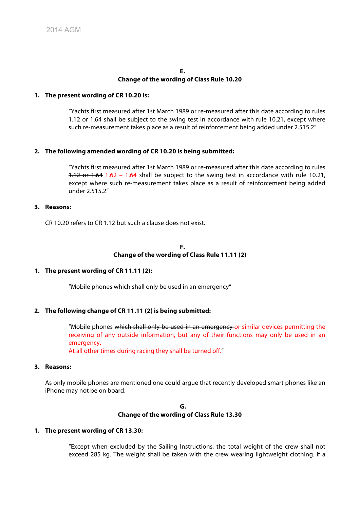## **E. Change of the wording of Class Rule 10.20**

#### **1. The present wording of CR 10.20 is:**

"Yachts first measured after 1st March 1989 or re-measured after this date according to rules 1.12 or 1.64 shall be subject to the swing test in accordance with rule 10.21, except where such re-measurement takes place as a result of reinforcement being added under 2.515.2"

#### **2. The following amended wording of CR 10.20 is being submitted:**

"Yachts first measured after 1st March 1989 or re-measured after this date according to rules 1.12 or 1.64 1.62 – 1.64 shall be subject to the swing test in accordance with rule 10.21, except where such re-measurement takes place as a result of reinforcement being added under 2.515.2"

#### **3. Reasons:**

CR 10.20 refers to CR 1.12 but such a clause does not exist.

#### **F. Change of the wording of Class Rule 11.11 (2)**

#### **1. The present wording of CR 11.11 (2):**

"Mobile phones which shall only be used in an emergency"

#### **2. The following change of CR 11.11 (2) is being submitted:**

"Mobile phones which shall only be used in an emergency or similar devices permitting the receiving of any outside information, but any of their functions may only be used in an emergency.

At all other times during racing they shall be turned off."

# **3. Reasons:**

As only mobile phones are mentioned one could argue that recently developed smart phones like an iPhone may not be on board.

#### **G. Change of the wording of Class Rule 13.30**

#### **1. The present wording of CR 13.30:**

"Except when excluded by the Sailing Instructions, the total weight of the crew shall not exceed 285 kg. The weight shall be taken with the crew wearing lightweight clothing. If a